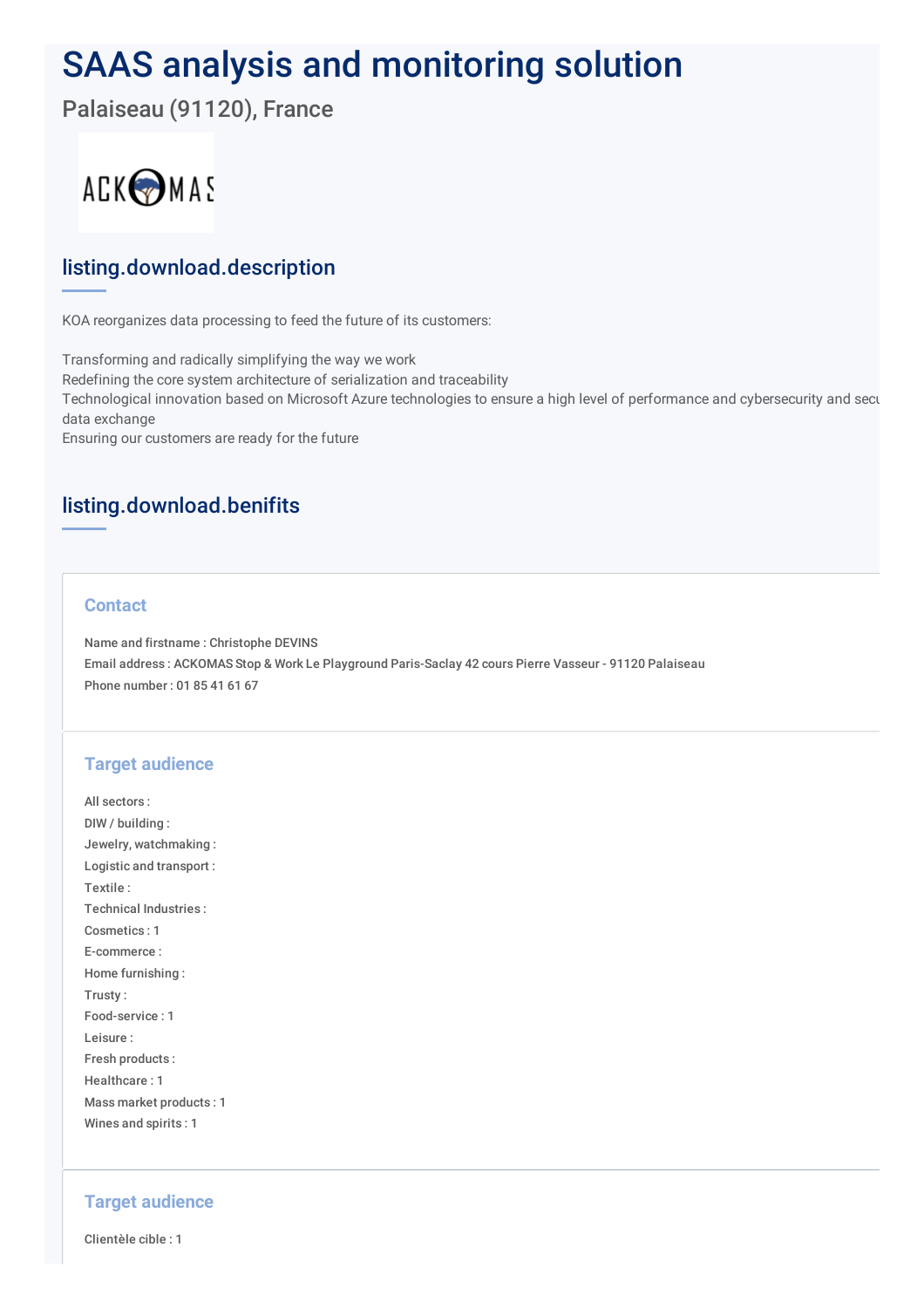# SAAS analysis and monitoring solution

Palaiseau (91120), France



# listing.download.description

KOA reorganizes data processing to feed the future of its customers:

Transforming and radically simplifying the way we work Redefining the core system architecture of serialization and traceability Technological innovation based on Microsoft Azure technologies to ensure a high level of performance and cybersecurity and secu data exchange Ensuring our customers are ready for the future

# listing.download.benifits

## **Contact**

Name and firstname : Christophe DEVINS Email address : ACKOMAS Stop & Work Le Playground Paris-Saclay 42 cours Pierre Vasseur - 91120 Palaiseau Phone number : 01 85 41 61 67

## **Target audience**

All sectors : DIW / building : Jewelry, watchmaking : Logistic and transport : Textile : Technical Industries : Cosmetics : 1 E-commerce : Home furnishing : Trusty : Food-service : 1 Leisure : Fresh products : Healthcare : 1 Mass market products : 1 Wines and spirits : 1

#### **Target audience**